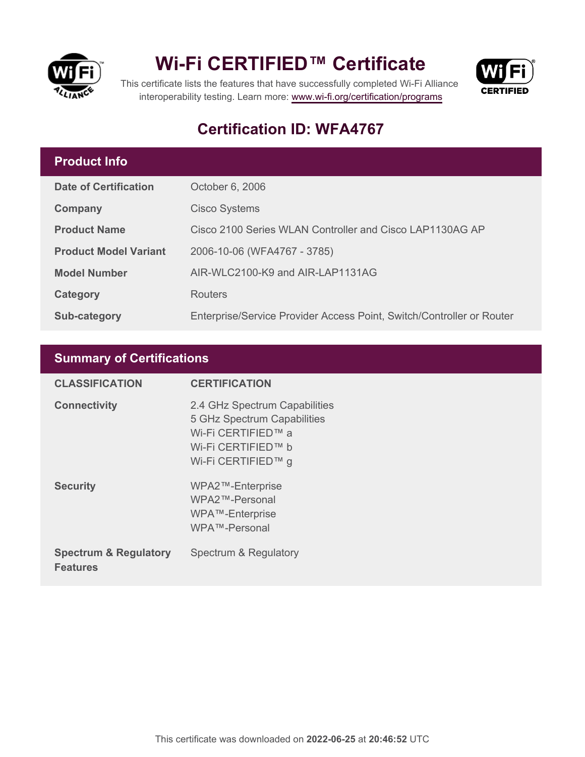

## **Wi-Fi CERTIFIED™ Certificate**



This certificate lists the features that have successfully completed Wi-Fi Alliance interoperability testing. Learn more:<www.wi-fi.org/certification/programs>

### **Certification ID: WFA4767**

#### **Product Info**

| <b>Date of Certification</b> | October 6, 2006                                                       |
|------------------------------|-----------------------------------------------------------------------|
| Company                      | <b>Cisco Systems</b>                                                  |
| <b>Product Name</b>          | Cisco 2100 Series WLAN Controller and Cisco LAP1130AG AP              |
| <b>Product Model Variant</b> | 2006-10-06 (WFA4767 - 3785)                                           |
| <b>Model Number</b>          | AIR-WLC2100-K9 and AIR-LAP1131AG                                      |
| Category                     | <b>Routers</b>                                                        |
| Sub-category                 | Enterprise/Service Provider Access Point, Switch/Controller or Router |

#### **Summary of Certifications**

| <b>CLASSIFICATION</b>                               | <b>CERTIFICATION</b>                                                                                                           |
|-----------------------------------------------------|--------------------------------------------------------------------------------------------------------------------------------|
| <b>Connectivity</b>                                 | 2.4 GHz Spectrum Capabilities<br>5 GHz Spectrum Capabilities<br>Wi-Fi CERTIFIED™ a<br>Wi-Fi CERTIFIED™ b<br>Wi-Fi CERTIFIED™ g |
| <b>Security</b>                                     | WPA2™-Enterprise<br>WPA2™-Personal<br>WPA™-Enterprise<br>WPA™-Personal                                                         |
| <b>Spectrum &amp; Regulatory</b><br><b>Features</b> | Spectrum & Regulatory                                                                                                          |